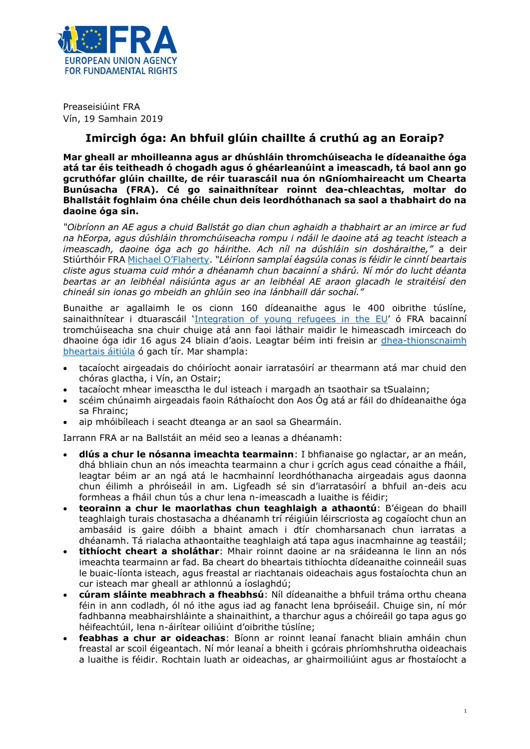

Preaseisiúint FRA Vín, 19 Samhain 2019

## **Imircigh óga: An bhfuil glúin chaillte á cruthú ag an Eoraip?**

**Mar gheall ar mhoilleanna agus ar dhúshláin thromchúiseacha le dídeanaithe óga atá tar éis teitheadh ó chogadh agus ó ghéarleanúint a imeascadh, tá baol ann go gcruthófar glúin chaillte, de réir tuarascáil nua ón nGníomhaireacht um Chearta Bunúsacha (FRA). Cé go sainaithnítear roinnt dea-chleachtas, moltar do Bhallstáit foghlaim óna chéile chun deis leordhóthanach sa saol a thabhairt do na daoine óga sin.**

*"Oibríonn an AE agus a chuid Ballstát go dian chun aghaidh a thabhairt ar an imirce ar fud na hEorpa, agus dúshláin thromchúiseacha rompu i ndáil le daoine atá ag teacht isteach a imeascadh, daoine óga ach go háirithe. Ach níl na dúshláin sin dosháraithe,"* a deir Stiúrthóir FRA [Michael O'Flaherty](http://fra.europa.eu/en/about-fra/structure/director). *"Léiríonn samplaí éagsúla conas is féidir le cinntí beartais cliste agus stuama cuid mhór a dhéanamh chun bacainní a shárú. Ní mór do lucht déanta beartas ar an leibhéal náisiúnta agus ar an leibhéal AE araon glacadh le straitéisí den chineál sin ionas go mbeidh an ghlúin seo ina lánbhaill dár sochaí."*

Bunaithe ar agallaimh le os cionn 160 dídeanaithe agus le 400 oibrithe túslíne, sainaithnítear i dtuarascáil '[Integration of young refugees in the EU](https://fra.europa.eu/en/publication/2019/young-refugees-integration/)' ó FRA bacainní tromchúiseacha sna chuir chuige atá ann faoi láthair maidir le himeascadh imirceach do dhaoine óga idir 16 agus 24 bliain d'aois. Leagtar béim inti freisin ar [dhea-thionscnaimh](https://fra.europa.eu/en/publication/2019/young-refugees-integration/practices)  [bheartais áitiúla](https://fra.europa.eu/en/publication/2019/young-refugees-integration/practices) ó gach tír. Mar shampla:

- tacaíocht airgeadais do chóiríocht aonair iarratasóirí ar thearmann atá mar chuid den chóras glactha, i Vín, an Ostair;
- tacaíocht mhear imeasctha le dul isteach i margadh an tsaothair sa tSualainn;
- scéim chúnaimh airgeadais faoin Ráthaíocht don Aos Óg atá ar fáil do dhídeanaithe óga sa Fhrainc;
- aip mhóibíleach i seacht dteanga ar an saol sa Ghearmáin.

Iarrann FRA ar na Ballstáit an méid seo a leanas a dhéanamh:

- **dlús a chur le nósanna imeachta tearmainn**: I bhfianaise go nglactar, ar an meán, dhá bhliain chun an nós imeachta tearmainn a chur i gcrích agus cead cónaithe a fháil, leagtar béim ar an ngá atá le hacmhainní leordhóthanacha airgeadais agus daonna chun éilimh a phróiseáil in am. Ligfeadh sé sin d'iarratasóirí a bhfuil an-deis acu formheas a fháil chun tús a chur lena n-imeascadh a luaithe is féidir;
- **teorainn a chur le maorlathas chun teaghlaigh a athaontú**: B'éigean do bhaill teaghlaigh turais chostasacha a dhéanamh trí réigiúin léirscriosta ag cogaíocht chun an ambasáid is gaire dóibh a bhaint amach i dtír chomharsanach chun iarratas a dhéanamh. Tá rialacha athaontaithe teaghlaigh atá tapa agus inacmhainne ag teastáil;
- **tithíocht cheart a sholáthar**: Mhair roinnt daoine ar na sráideanna le linn an nós imeachta tearmainn ar fad. Ba cheart do bheartais tithíochta dídeanaithe coinneáil suas le buaic-líonta isteach, agus freastal ar riachtanais oideachais agus fostaíochta chun an cur isteach mar gheall ar athlonnú a íoslaghdú;
- **cúram sláinte meabhrach a fheabhsú**: Níl dídeanaithe a bhfuil tráma orthu cheana féin in ann codladh, ól nó ithe agus iad ag fanacht lena bpróiseáil. Chuige sin, ní mór fadhbanna meabhairshláinte a shainaithint, a tharchur agus a chóireáil go tapa agus go héifeachtúil, lena n-áirítear oiliúint d'oibrithe túslíne;
- **feabhas a chur ar oideachas**: Bíonn ar roinnt leanaí fanacht bliain amháin chun freastal ar scoil éigeantach. Ní mór leanaí a bheith i gcórais phríomhshrutha oideachais a luaithe is féidir. Rochtain luath ar oideachas, ar ghairmoiliúint agus ar fhostaíocht a